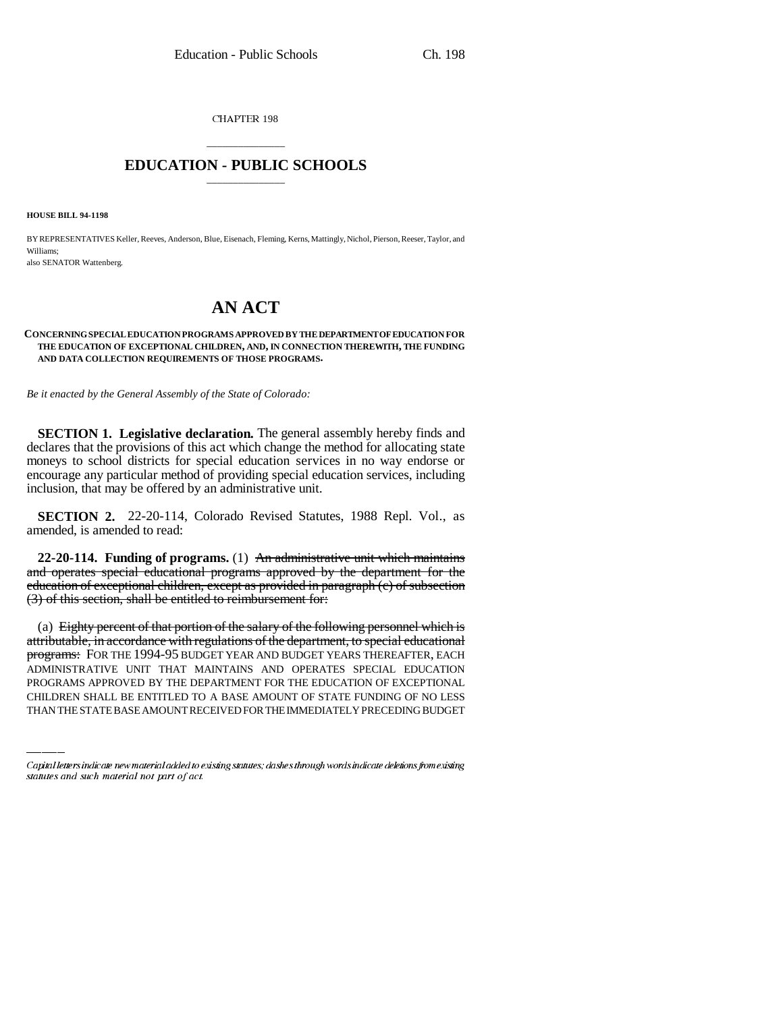CHAPTER 198

## \_\_\_\_\_\_\_\_\_\_\_\_\_\_\_ **EDUCATION - PUBLIC SCHOOLS** \_\_\_\_\_\_\_\_\_\_\_\_\_\_\_

**HOUSE BILL 94-1198**

BY REPRESENTATIVES Keller, Reeves, Anderson, Blue, Eisenach, Fleming, Kerns, Mattingly, Nichol, Pierson, Reeser, Taylor, and Williams; also SENATOR Wattenberg.

# **AN ACT**

#### **CONCERNING SPECIAL EDUCATION PROGRAMS APPROVED BY THE DEPARTMENT OF EDUCATION FOR THE EDUCATION OF EXCEPTIONAL CHILDREN, AND, IN CONNECTION THEREWITH, THE FUNDING AND DATA COLLECTION REQUIREMENTS OF THOSE PROGRAMS.**

*Be it enacted by the General Assembly of the State of Colorado:*

**SECTION 1. Legislative declaration.** The general assembly hereby finds and declares that the provisions of this act which change the method for allocating state moneys to school districts for special education services in no way endorse or encourage any particular method of providing special education services, including inclusion, that may be offered by an administrative unit.

**SECTION 2.** 22-20-114, Colorado Revised Statutes, 1988 Repl. Vol., as amended, is amended to read:

**22-20-114. Funding of programs.** (1) An administrative unit which maintains and operates special educational programs approved by the department for the education of exceptional children, except as provided in paragraph (c) of subsection (3) of this section, shall be entitled to reimbursement for:

<del>programs:</del> For the 1994-95 budget year and budget years thereafter, each (a) Eighty percent of that portion of the salary of the following personnel which is attributable, in accordance with regulations of the department, to special educational ADMINISTRATIVE UNIT THAT MAINTAINS AND OPERATES SPECIAL EDUCATION PROGRAMS APPROVED BY THE DEPARTMENT FOR THE EDUCATION OF EXCEPTIONAL CHILDREN SHALL BE ENTITLED TO A BASE AMOUNT OF STATE FUNDING OF NO LESS THAN THE STATE BASE AMOUNT RECEIVED FOR THE IMMEDIATELY PRECEDING BUDGET

Capital letters indicate new material added to existing statutes; dashes through words indicate deletions from existing statutes and such material not part of act.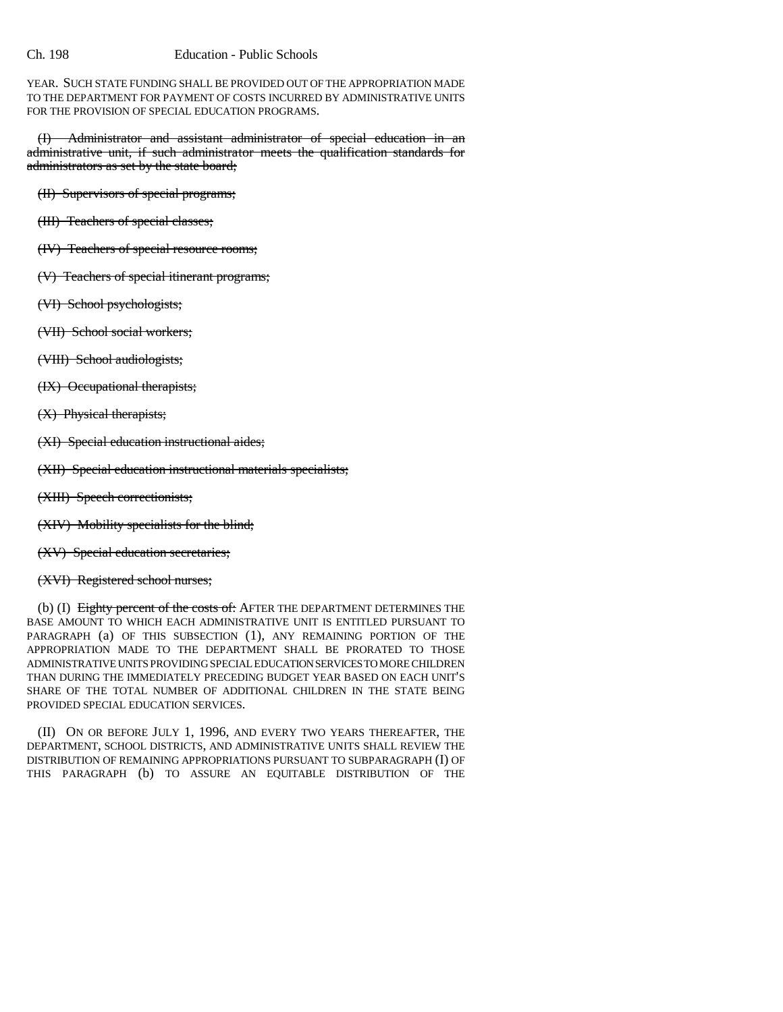### Ch. 198 Education - Public Schools

YEAR. SUCH STATE FUNDING SHALL BE PROVIDED OUT OF THE APPROPRIATION MADE TO THE DEPARTMENT FOR PAYMENT OF COSTS INCURRED BY ADMINISTRATIVE UNITS FOR THE PROVISION OF SPECIAL EDUCATION PROGRAMS.

(I) Administrator and assistant administrator of special education in an administrative unit, if such administrator meets the qualification standards for administrators as set by the state board;

(II) Supervisors of special programs;

- (III) Teachers of special classes;
- (IV) Teachers of special resource rooms;
- (V) Teachers of special itinerant programs;
- (VI) School psychologists;
- (VII) School social workers;
- (VIII) School audiologists;
- (IX) Occupational therapists;
- (X) Physical therapists;
- (XI) Special education instructional aides;
- (XII) Special education instructional materials specialists;
- (XIII) Speech correctionists;
- (XIV) Mobility specialists for the blind;
- (XV) Special education secretaries;
- (XVI) Registered school nurses;

(b) (I) Eighty percent of the costs of: AFTER THE DEPARTMENT DETERMINES THE BASE AMOUNT TO WHICH EACH ADMINISTRATIVE UNIT IS ENTITLED PURSUANT TO PARAGRAPH (a) OF THIS SUBSECTION (1), ANY REMAINING PORTION OF THE APPROPRIATION MADE TO THE DEPARTMENT SHALL BE PRORATED TO THOSE ADMINISTRATIVE UNITS PROVIDING SPECIAL EDUCATION SERVICES TO MORE CHILDREN THAN DURING THE IMMEDIATELY PRECEDING BUDGET YEAR BASED ON EACH UNIT'S SHARE OF THE TOTAL NUMBER OF ADDITIONAL CHILDREN IN THE STATE BEING PROVIDED SPECIAL EDUCATION SERVICES.

(II) ON OR BEFORE JULY 1, 1996, AND EVERY TWO YEARS THEREAFTER, THE DEPARTMENT, SCHOOL DISTRICTS, AND ADMINISTRATIVE UNITS SHALL REVIEW THE DISTRIBUTION OF REMAINING APPROPRIATIONS PURSUANT TO SUBPARAGRAPH (I) OF THIS PARAGRAPH (b) TO ASSURE AN EQUITABLE DISTRIBUTION OF THE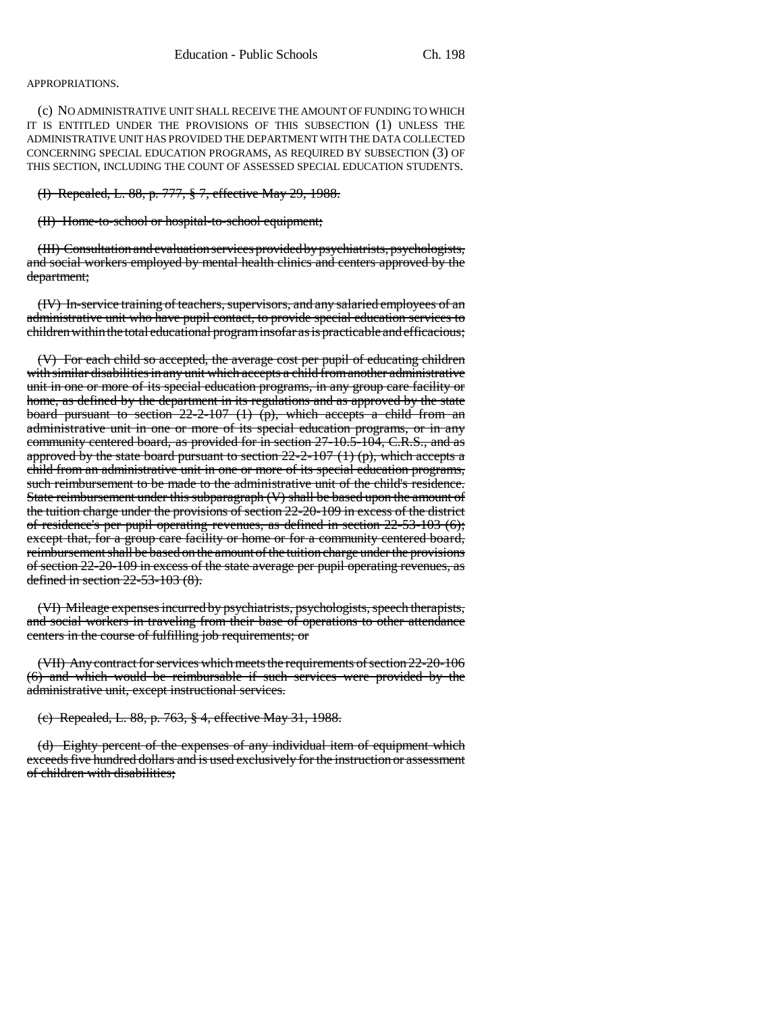#### APPROPRIATIONS.

(c) NO ADMINISTRATIVE UNIT SHALL RECEIVE THE AMOUNT OF FUNDING TO WHICH IT IS ENTITLED UNDER THE PROVISIONS OF THIS SUBSECTION (1) UNLESS THE ADMINISTRATIVE UNIT HAS PROVIDED THE DEPARTMENT WITH THE DATA COLLECTED CONCERNING SPECIAL EDUCATION PROGRAMS, AS REQUIRED BY SUBSECTION (3) OF THIS SECTION, INCLUDING THE COUNT OF ASSESSED SPECIAL EDUCATION STUDENTS.

(I) Repealed, L. 88, p. 777, § 7, effective May 29, 1988.

(II) Home-to-school or hospital-to-school equipment;

(III) Consultation and evaluation services provided by psychiatrists, psychologists, and social workers employed by mental health clinics and centers approved by the department;

(IV) In-service training of teachers, supervisors, and any salaried employees of an administrative unit who have pupil contact, to provide special education services to children within the total educational program insofar as is practicable and efficacious;

(V) For each child so accepted, the average cost per pupil of educating children with similar disabilities in any unit which accepts a child from another administrative unit in one or more of its special education programs, in any group care facility or home, as defined by the department in its regulations and as approved by the state board pursuant to section  $22-2-107$  (1) (p), which accepts a child from an administrative unit in one or more of its special education programs, or in any community centered board, as provided for in section 27-10.5-104, C.R.S., and as approved by the state board pursuant to section  $22-2-107$  (1) (p), which accepts a child from an administrative unit in one or more of its special education programs, such reimbursement to be made to the administrative unit of the child's residence. State reimbursement under this subparagraph (V) shall be based upon the amount of the tuition charge under the provisions of section 22-20-109 in excess of the district of residence's per pupil operating revenues, as defined in section 22-53-103 (6); except that, for a group care facility or home or for a community centered board, reimbursement shall be based on the amount of the tuition charge under the provisions of section 22-20-109 in excess of the state average per pupil operating revenues, as defined in section 22-53-103 (8).

(VI) Mileage expenses incurred by psychiatrists, psychologists, speech therapists, and social workers in traveling from their base of operations to other attendance centers in the course of fulfilling job requirements; or

(VII) Any contract for services which meets the requirements of section 22-20-106 (6) and which would be reimbursable if such services were provided by the administrative unit, except instructional services.

(c) Repealed, L. 88, p. 763, § 4, effective May 31, 1988.

(d) Eighty percent of the expenses of any individual item of equipment which exceeds five hundred dollars and is used exclusively for the instruction or assessment of children with disabilities;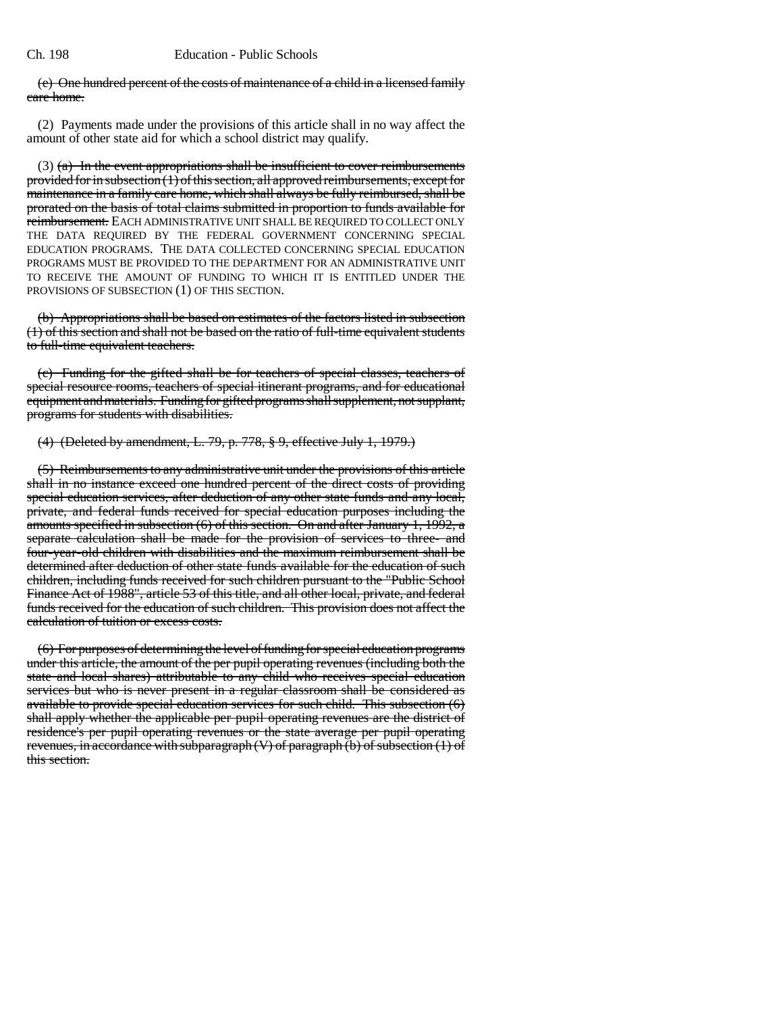#### (e) One hundred percent of the costs of maintenance of a child in a licensed family care home.

(2) Payments made under the provisions of this article shall in no way affect the amount of other state aid for which a school district may qualify.

(3) (a) In the event appropriations shall be insufficient to cover reimbursements provided for in subsection  $(1)$  of this section, all approved reimbursements, except for maintenance in a family care home, which shall always be fully reimbursed, shall be prorated on the basis of total claims submitted in proportion to funds available for reimbursement. EACH ADMINISTRATIVE UNIT SHALL BE REQUIRED TO COLLECT ONLY THE DATA REQUIRED BY THE FEDERAL GOVERNMENT CONCERNING SPECIAL EDUCATION PROGRAMS. THE DATA COLLECTED CONCERNING SPECIAL EDUCATION PROGRAMS MUST BE PROVIDED TO THE DEPARTMENT FOR AN ADMINISTRATIVE UNIT TO RECEIVE THE AMOUNT OF FUNDING TO WHICH IT IS ENTITLED UNDER THE PROVISIONS OF SUBSECTION (1) OF THIS SECTION.

(b) Appropriations shall be based on estimates of the factors listed in subsection (1) of this section and shall not be based on the ratio of full-time equivalent students to full-time equivalent teachers.

(c) Funding for the gifted shall be for teachers of special classes, teachers of special resource rooms, teachers of special itinerant programs, and for educational equipment and materials. Funding for gifted programs shall supplement, not supplant, programs for students with disabilities.

## (4) (Deleted by amendment, L. 79, p. 778, § 9, effective July 1, 1979.)

(5) Reimbursements to any administrative unit under the provisions of this article shall in no instance exceed one hundred percent of the direct costs of providing special education services, after deduction of any other state funds and any local, private, and federal funds received for special education purposes including the amounts specified in subsection (6) of this section. On and after January 1, 1992, a separate calculation shall be made for the provision of services to three- and four-year-old children with disabilities and the maximum reimbursement shall be determined after deduction of other state funds available for the education of such children, including funds received for such children pursuant to the "Public School Finance Act of 1988", article 53 of this title, and all other local, private, and federal funds received for the education of such children. This provision does not affect the calculation of tuition or excess costs.

(6) For purposes of determining the level of funding for special education programs under this article, the amount of the per pupil operating revenues (including both the state and local shares) attributable to any child who receives special education services but who is never present in a regular classroom shall be considered as available to provide special education services for such child. This subsection (6) shall apply whether the applicable per pupil operating revenues are the district of residence's per pupil operating revenues or the state average per pupil operating revenues, in accordance with subparagraph  $(V)$  of paragraph  $(b)$  of subsection  $(1)$  of this section.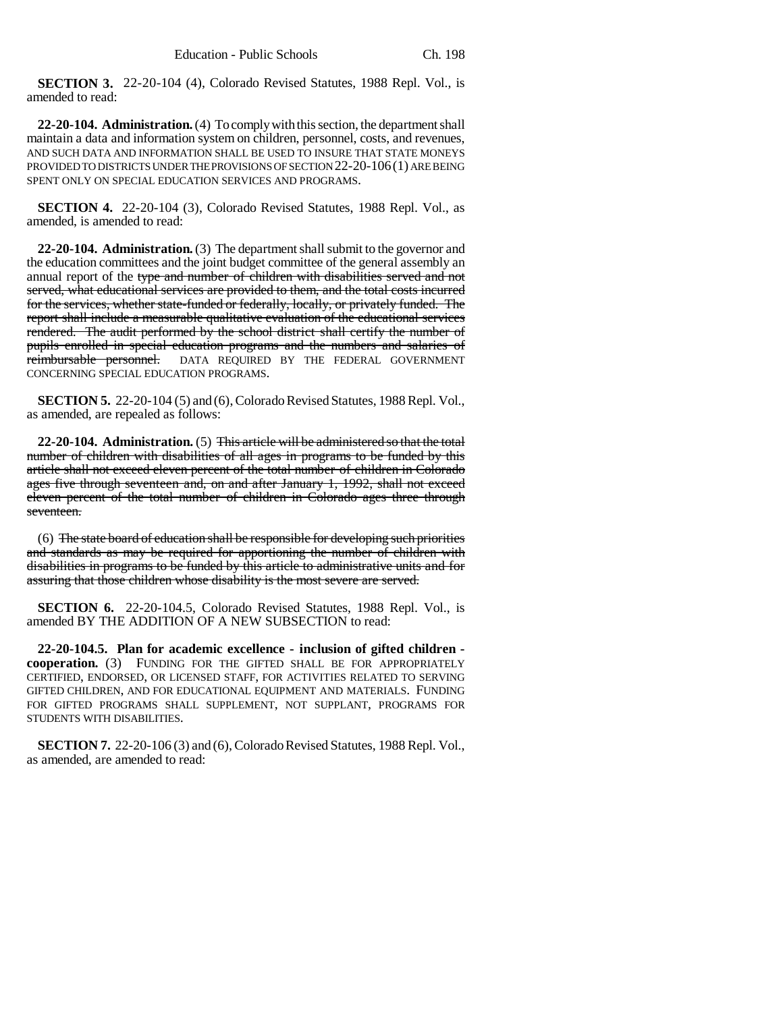**SECTION 3.** 22-20-104 (4), Colorado Revised Statutes, 1988 Repl. Vol., is amended to read:

**22-20-104. Administration.** (4) To comply with this section, the department shall maintain a data and information system on children, personnel, costs, and revenues, AND SUCH DATA AND INFORMATION SHALL BE USED TO INSURE THAT STATE MONEYS PROVIDED TO DISTRICTS UNDER THE PROVISIONS OF SECTION 22-20-106(1) ARE BEING SPENT ONLY ON SPECIAL EDUCATION SERVICES AND PROGRAMS.

**SECTION 4.** 22-20-104 (3), Colorado Revised Statutes, 1988 Repl. Vol., as amended, is amended to read:

**22-20-104. Administration.** (3) The department shall submit to the governor and the education committees and the joint budget committee of the general assembly an annual report of the type and number of children with disabilities served and not served, what educational services are provided to them, and the total costs incurred for the services, whether state-funded or federally, locally, or privately funded. The report shall include a measurable qualitative evaluation of the educational services rendered. The audit performed by the school district shall certify the number of pupils enrolled in special education programs and the numbers and salaries of reimbursable personnel. DATA REQUIRED BY THE FEDERAL GOVERNMENT CONCERNING SPECIAL EDUCATION PROGRAMS.

**SECTION 5.** 22-20-104 (5) and (6), Colorado Revised Statutes, 1988 Repl. Vol., as amended, are repealed as follows:

**22-20-104. Administration.** (5) This article will be administered so that the total number of children with disabilities of all ages in programs to be funded by this article shall not exceed eleven percent of the total number of children in Colorado ages five through seventeen and, on and after January 1, 1992, shall not exceed eleven percent of the total number of children in Colorado ages three through seventeen.

(6) The state board of education shall be responsible for developing such priorities and standards as may be required for apportioning the number of children with disabilities in programs to be funded by this article to administrative units and for assuring that those children whose disability is the most severe are served.

**SECTION 6.** 22-20-104.5, Colorado Revised Statutes, 1988 Repl. Vol., is amended BY THE ADDITION OF A NEW SUBSECTION to read:

**22-20-104.5. Plan for academic excellence - inclusion of gifted children cooperation.** (3) FUNDING FOR THE GIFTED SHALL BE FOR APPROPRIATELY CERTIFIED, ENDORSED, OR LICENSED STAFF, FOR ACTIVITIES RELATED TO SERVING GIFTED CHILDREN, AND FOR EDUCATIONAL EQUIPMENT AND MATERIALS. FUNDING FOR GIFTED PROGRAMS SHALL SUPPLEMENT, NOT SUPPLANT, PROGRAMS FOR STUDENTS WITH DISABILITIES.

**SECTION 7.** 22-20-106 (3) and (6), Colorado Revised Statutes, 1988 Repl. Vol., as amended, are amended to read: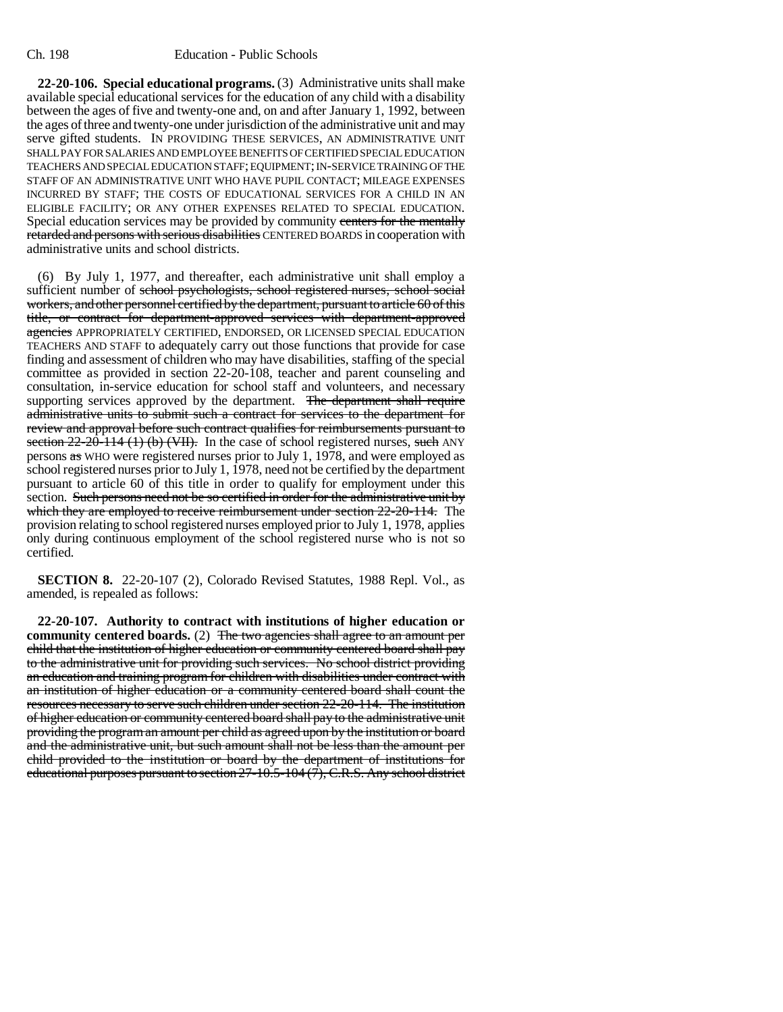**22-20-106. Special educational programs.** (3) Administrative units shall make available special educational services for the education of any child with a disability between the ages of five and twenty-one and, on and after January 1, 1992, between the ages of three and twenty-one under jurisdiction of the administrative unit and may serve gifted students. IN PROVIDING THESE SERVICES, AN ADMINISTRATIVE UNIT SHALL PAY FOR SALARIES AND EMPLOYEE BENEFITS OF CERTIFIED SPECIAL EDUCATION TEACHERS AND SPECIAL EDUCATION STAFF; EQUIPMENT; IN-SERVICE TRAINING OF THE STAFF OF AN ADMINISTRATIVE UNIT WHO HAVE PUPIL CONTACT; MILEAGE EXPENSES INCURRED BY STAFF; THE COSTS OF EDUCATIONAL SERVICES FOR A CHILD IN AN ELIGIBLE FACILITY; OR ANY OTHER EXPENSES RELATED TO SPECIAL EDUCATION. Special education services may be provided by community centers for the mentally retarded and persons with serious disabilities CENTERED BOARDS in cooperation with administrative units and school districts.

(6) By July 1, 1977, and thereafter, each administrative unit shall employ a sufficient number of school psychologists, school registered nurses, school social workers, and other personnel certified by the department, pursuant to article 60 of this title, or contract for department-approved services with department-approved agencies APPROPRIATELY CERTIFIED, ENDORSED, OR LICENSED SPECIAL EDUCATION TEACHERS AND STAFF to adequately carry out those functions that provide for case finding and assessment of children who may have disabilities, staffing of the special committee as provided in section 22-20-108, teacher and parent counseling and consultation, in-service education for school staff and volunteers, and necessary supporting services approved by the department. The department shall require administrative units to submit such a contract for services to the department for review and approval before such contract qualifies for reimbursements pursuant to section  $22-20-114$  (1) (b) (VII). In the case of school registered nurses, such ANY persons as WHO were registered nurses prior to July 1, 1978, and were employed as school registered nurses prior to July 1, 1978, need not be certified by the department pursuant to article 60 of this title in order to qualify for employment under this section. Such persons need not be so certified in order for the administrative unit by which they are employed to receive reimbursement under section 22-20-114. The provision relating to school registered nurses employed prior to July 1, 1978, applies only during continuous employment of the school registered nurse who is not so certified.

**SECTION 8.** 22-20-107 (2), Colorado Revised Statutes, 1988 Repl. Vol., as amended, is repealed as follows:

**22-20-107. Authority to contract with institutions of higher education or community centered boards.** (2) The two agencies shall agree to an amount per child that the institution of higher education or community centered board shall pay to the administrative unit for providing such services. No school district providing an education and training program for children with disabilities under contract with an institution of higher education or a community centered board shall count the resources necessary to serve such children under section 22-20-114. The institution of higher education or community centered board shall pay to the administrative unit providing the program an amount per child as agreed upon by the institution or board and the administrative unit, but such amount shall not be less than the amount per child provided to the institution or board by the department of institutions for educational purposes pursuant to section 27-10.5-104 (7), C.R.S. Any school district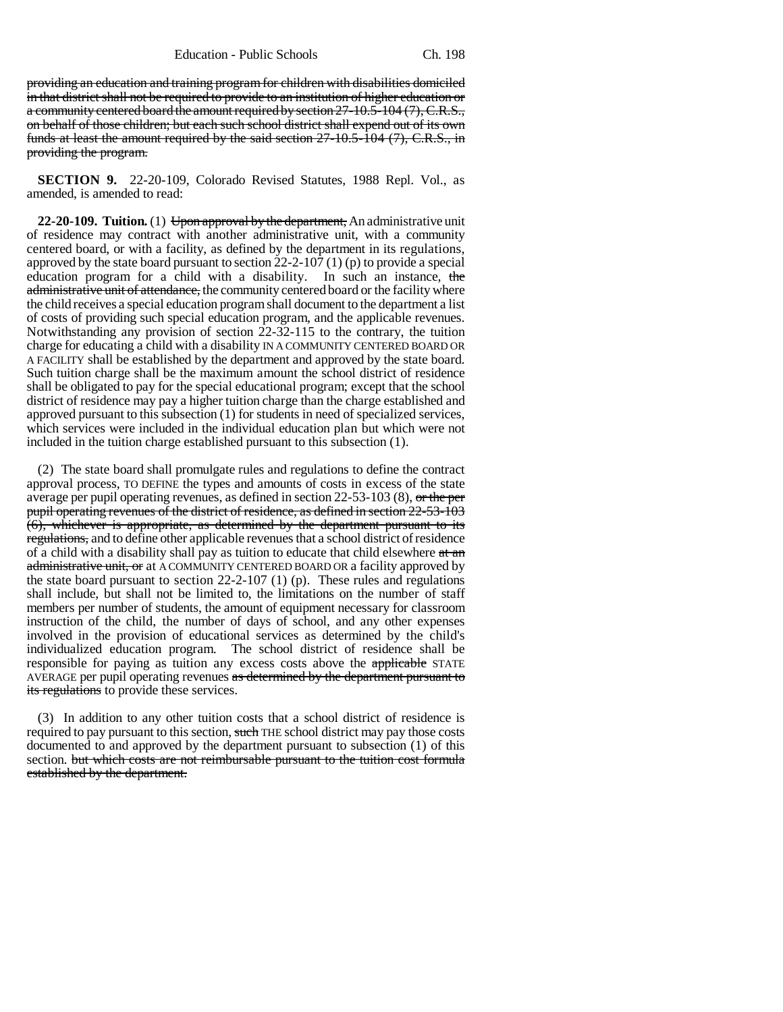providing an education and training program for children with disabilities domiciled in that district shall not be required to provide to an institution of higher education or a community centered board the amount required by section 27-10.5-104 (7), C.R.S., on behalf of those children; but each such school district shall expend out of its own funds at least the amount required by the said section 27-10.5-104 (7), C.R.S., in providing the program.

**SECTION 9.** 22-20-109, Colorado Revised Statutes, 1988 Repl. Vol., as amended, is amended to read:

**22-20-109. Tuition.** (1) Upon approval by the department, An administrative unit of residence may contract with another administrative unit, with a community centered board, or with a facility, as defined by the department in its regulations, approved by the state board pursuant to section 22-2-107 (1) (p) to provide a special education program for a child with a disability. In such an instance, the administrative unit of attendance, the community centered board or the facility where the child receives a special education program shall document to the department a list of costs of providing such special education program, and the applicable revenues. Notwithstanding any provision of section  $22-32-115$  to the contrary, the tuition charge for educating a child with a disability IN A COMMUNITY CENTERED BOARD OR A FACILITY shall be established by the department and approved by the state board. Such tuition charge shall be the maximum amount the school district of residence shall be obligated to pay for the special educational program; except that the school district of residence may pay a higher tuition charge than the charge established and approved pursuant to this subsection (1) for students in need of specialized services, which services were included in the individual education plan but which were not included in the tuition charge established pursuant to this subsection (1).

(2) The state board shall promulgate rules and regulations to define the contract approval process, TO DEFINE the types and amounts of costs in excess of the state average per pupil operating revenues, as defined in section 22-53-103 (8), or the per pupil operating revenues of the district of residence, as defined in section 22-53-103  $(6)$ , whichever is appropriate, as determined by the department pursuant to its regulations, and to define other applicable revenues that a school district of residence of a child with a disability shall pay as tuition to educate that child elsewhere  $at$  and administrative unit, or at A COMMUNITY CENTERED BOARD OR a facility approved by the state board pursuant to section 22-2-107 (1) (p). These rules and regulations shall include, but shall not be limited to, the limitations on the number of staff members per number of students, the amount of equipment necessary for classroom instruction of the child, the number of days of school, and any other expenses involved in the provision of educational services as determined by the child's individualized education program. The school district of residence shall be responsible for paying as tuition any excess costs above the applicable STATE AVERAGE per pupil operating revenues as determined by the department pursuant to its regulations to provide these services.

(3) In addition to any other tuition costs that a school district of residence is required to pay pursuant to this section, such THE school district may pay those costs documented to and approved by the department pursuant to subsection (1) of this section. but which costs are not reimbursable pursuant to the tuition cost formula established by the department.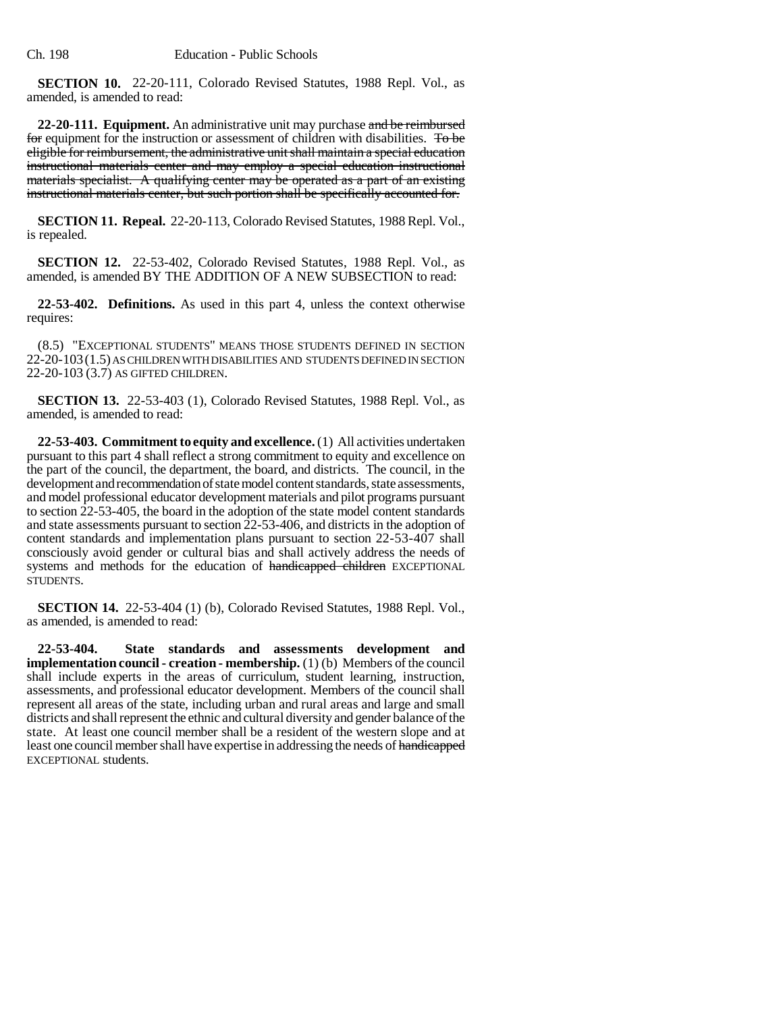**SECTION 10.** 22-20-111, Colorado Revised Statutes, 1988 Repl. Vol., as amended, is amended to read:

**22-20-111. Equipment.** An administrative unit may purchase and be reimbursed for equipment for the instruction or assessment of children with disabilities. To be eligible for reimbursement, the administrative unit shall maintain a special education instructional materials center and may employ a special education instructional materials specialist. A qualifying center may be operated as a part of an existing instructional materials center, but such portion shall be specifically accounted for.

**SECTION 11. Repeal.** 22-20-113, Colorado Revised Statutes, 1988 Repl. Vol., is repealed.

**SECTION 12.** 22-53-402, Colorado Revised Statutes, 1988 Repl. Vol., as amended, is amended BY THE ADDITION OF A NEW SUBSECTION to read:

**22-53-402. Definitions.** As used in this part 4, unless the context otherwise requires:

(8.5) "EXCEPTIONAL STUDENTS" MEANS THOSE STUDENTS DEFINED IN SECTION 22-20-103(1.5) AS CHILDREN WITH DISABILITIES AND STUDENTS DEFINED IN SECTION 22-20-103 (3.7) AS GIFTED CHILDREN.

**SECTION 13.** 22-53-403 (1), Colorado Revised Statutes, 1988 Repl. Vol., as amended, is amended to read:

**22-53-403. Commitment to equity and excellence.** (1) All activities undertaken pursuant to this part 4 shall reflect a strong commitment to equity and excellence on the part of the council, the department, the board, and districts. The council, in the development and recommendation of state model content standards, state assessments, and model professional educator development materials and pilot programs pursuant to section 22-53-405, the board in the adoption of the state model content standards and state assessments pursuant to section 22-53-406, and districts in the adoption of content standards and implementation plans pursuant to section 22-53-407 shall consciously avoid gender or cultural bias and shall actively address the needs of systems and methods for the education of handicapped children EXCEPTIONAL STUDENTS.

**SECTION 14.** 22-53-404 (1) (b), Colorado Revised Statutes, 1988 Repl. Vol., as amended, is amended to read:

**22-53-404. State standards and assessments development and implementation council - creation - membership.** (1) (b) Members of the council shall include experts in the areas of curriculum, student learning, instruction, assessments, and professional educator development. Members of the council shall represent all areas of the state, including urban and rural areas and large and small districts and shall represent the ethnic and cultural diversity and gender balance of the state. At least one council member shall be a resident of the western slope and at least one council member shall have expertise in addressing the needs of handicapped EXCEPTIONAL students.